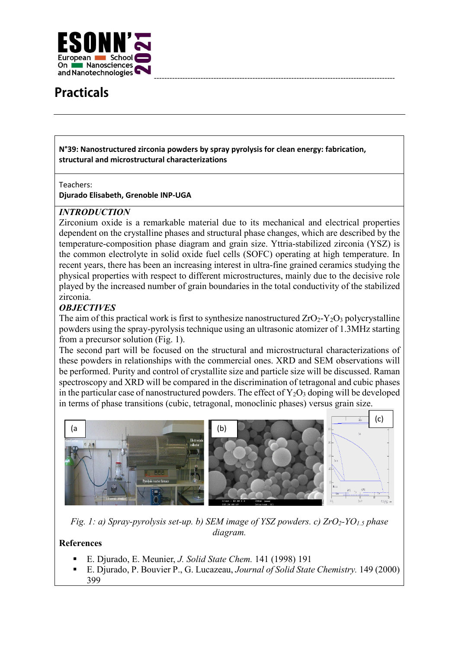

## **Practicals**

**N°39: Nanostructured zirconia powders by spray pyrolysis for clean energy: fabrication, structural and microstructural characterizations**

#### Teachers:

**Djurado Elisabeth, Grenoble INP-UGA**

#### *INTRODUCTION*

Zirconium oxide is a remarkable material due to its mechanical and electrical properties dependent on the crystalline phases and structural phase changes, which are described by the temperature-composition phase diagram and grain size. Yttria-stabilized zirconia (YSZ) is the common electrolyte in solid oxide fuel cells (SOFC) operating at high temperature. In recent years, there has been an increasing interest in ultra-fine grained ceramics studying the physical properties with respect to different microstructures, mainly due to the decisive role played by the increased number of grain boundaries in the total conductivity of the stabilized zirconia.

## *OBJECTIVES*

The aim of this practical work is first to synthesize nanostructured  $ZrO<sub>2</sub>-Y<sub>2</sub>O<sub>3</sub>$  polycrystalline powders using the spray-pyrolysis technique using an ultrasonic atomizer of 1.3MHz starting from a precursor solution (Fig. 1).

The second part will be focused on the structural and microstructural characterizations of these powders in relationships with the commercial ones. XRD and SEM observations will be performed. Purity and control of crystallite size and particle size will be discussed. Raman spectroscopy and XRD will be compared in the discrimination of tetragonal and cubic phases in the particular case of nanostructured powders. The effect of  $Y_2O_3$  doping will be developed in terms of phase transitions (cubic, tetragonal, monoclinic phases) versus grain size.



*Fig. 1: a) Spray-pyrolysis set-up. b) SEM image of YSZ powders. c)*  $ZrO<sub>2</sub>$ -*YO<sub>1.5</sub> phase diagram.*

### **References**

- E. Djurado, E. Meunier, *J. Solid State Chem.* 141 (1998) 191
- E. Djurado, P. Bouvier P., G. Lucazeau, *Journal of Solid State Chemistry.* 149 (2000) 399